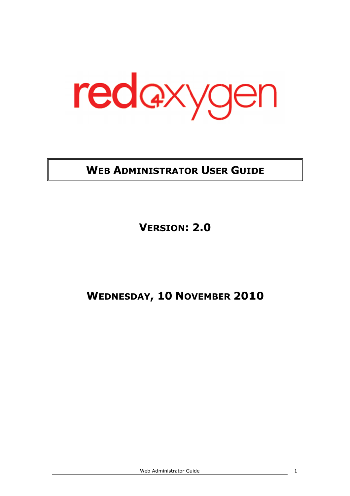

## WEB ADMINISTRATOR USER GUIDE

VERSION ERSION: 2.0

# W EDNESDAY , 10 NOVEMBER 2010

Web Administrator Web Administrator Guide

1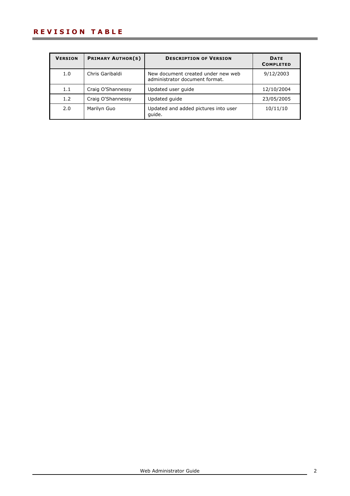| <b>VERSION</b> | <b>PRIMARY AUTHOR(S)</b> | <b>DESCRIPTION OF VERSION</b>                                        | <b>DATE</b><br><b>COMPLETED</b> |
|----------------|--------------------------|----------------------------------------------------------------------|---------------------------------|
| 1.0            | Chris Garibaldi          | New document created under new web<br>administrator document format. | 9/12/2003                       |
| 1.1            | Craig O'Shannessy        | Updated user quide                                                   | 12/10/2004                      |
| 1.2            | Craig O'Shannessy        | Updated quide                                                        | 23/05/2005                      |
| 2.0            | Marilyn Guo              | Updated and added pictures into user<br>quide.                       | 10/11/10                        |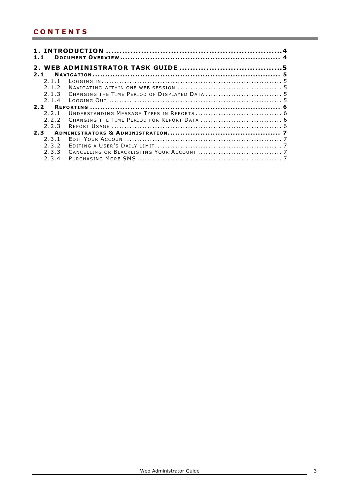| 1.1   |  |  |  |  |  |
|-------|--|--|--|--|--|
|       |  |  |  |  |  |
| 2.1   |  |  |  |  |  |
| 2.1.1 |  |  |  |  |  |
| 2.1.2 |  |  |  |  |  |
| 2.1.3 |  |  |  |  |  |
| 2.1.4 |  |  |  |  |  |
|       |  |  |  |  |  |
| 221   |  |  |  |  |  |
| 222   |  |  |  |  |  |
| 2.2.3 |  |  |  |  |  |
| 2.3   |  |  |  |  |  |
| 2.3.1 |  |  |  |  |  |
| 2.3.2 |  |  |  |  |  |
| 2.3.3 |  |  |  |  |  |
| 2.3.4 |  |  |  |  |  |

<u> 1989 - Johann Barnett, mars eta indonez erroman erroman erroman erroman erroman erroman erroman erroman errom</u>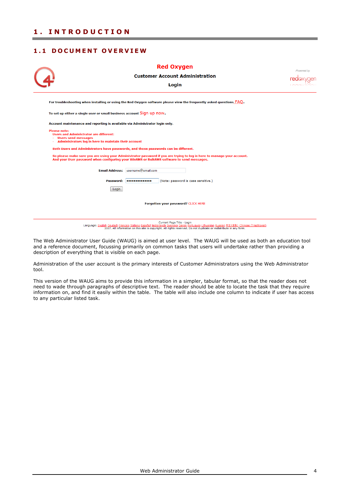## 1.1 DOCUMENT OVERVIEW

|                                                                                                                                                                                                                     | <b>Red Oxygen</b>                 |                            |                                        |            |  |
|---------------------------------------------------------------------------------------------------------------------------------------------------------------------------------------------------------------------|-----------------------------------|----------------------------|----------------------------------------|------------|--|
|                                                                                                                                                                                                                     |                                   |                            | <b>Customer Account Administration</b> | Powered by |  |
|                                                                                                                                                                                                                     |                                   | Login                      |                                        |            |  |
| For troubleshooting when installing or using the Red Oxygen software please view the frequently asked questions FAQ.                                                                                                |                                   |                            |                                        |            |  |
| To set up either a single user or small business account Sign up now.                                                                                                                                               |                                   |                            |                                        |            |  |
| Account maintenance and reporting is available via Administrator login only.                                                                                                                                        |                                   |                            |                                        |            |  |
| <b>Please note:</b><br><b>Users and Administrator are different:</b><br><b>Users send messages</b><br>Administrators log in here to maintain their account                                                          |                                   |                            |                                        |            |  |
| Both Users and Administrators have passwords, and those passwords can be different.                                                                                                                                 |                                   |                            |                                        |            |  |
| So please make sure you are using your Administrator password if you are trying to log in here to manage your account.<br>And your User password when configuring your WinSMS or BulkSMS software to send messages. |                                   |                            |                                        |            |  |
|                                                                                                                                                                                                                     | Email Address: username@email.com |                            |                                        |            |  |
|                                                                                                                                                                                                                     | Password:   **************        |                            | (Note: password is case sensitive.)    |            |  |
| Login                                                                                                                                                                                                               |                                   |                            |                                        |            |  |
|                                                                                                                                                                                                                     |                                   |                            |                                        |            |  |
| Forgotten your password? CLICK HERE                                                                                                                                                                                 |                                   |                            |                                        |            |  |
|                                                                                                                                                                                                                     |                                   |                            |                                        |            |  |
|                                                                                                                                                                                                                     |                                   | Current Page Title - Login |                                        |            |  |

Language: English Deutsch Français Italiano Español Nederlands Svenska Dansk Portugues Lithuanian Russian 中文(寛体) Chinese (Traditional)<br>2007. All information on this site is copyright. All rights reserved. Do not duplicate

The Web Administrator User Guide (WAUG) is aimed at user level. The WAUG will be used as both an education tool and a reference document, focussing primarily on common tasks that users will undertake rather than providing a description of everything that is visible on each page.

Administration of the user account is the primary interests of Customer Administrators using the Web Administrator tool.

This version of the WAUG aims to provide this information in a simpler, tabular format, so that the reader does not need to wade through paragraphs of descriptive text. The reader should be able to locate the task that they require information on, and find it easily within the table. The table will also include one column to indicate if user has access to any particular listed task.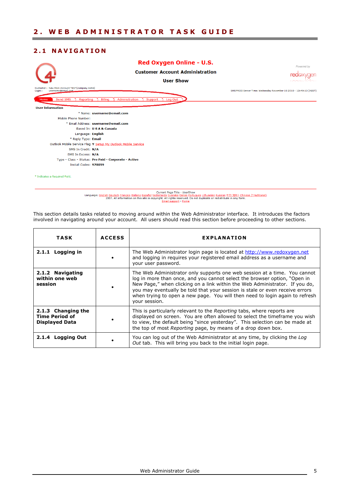#### 2.1 NAVIGATION



Current Page Title - UserShow<br>Language: <u>English Deutsch Français Italiano Español Nederlands Svenska Dansk Portugues Lithuanian Russian 中文(原体) Chinese (Traditional)<br>2007. All information on this site is copyright. All mi</u>

This section details tasks related to moving around within the Web Administrator interface. It introduces the factors involved in navigating around your account. All users should read this section before proceeding to other sections.

| <b>TASK</b>                                                          | <b>ACCESS</b> | <b>EXPLANATION</b>                                                                                                                                                                                                                                                                                                                                                                                                     |
|----------------------------------------------------------------------|---------------|------------------------------------------------------------------------------------------------------------------------------------------------------------------------------------------------------------------------------------------------------------------------------------------------------------------------------------------------------------------------------------------------------------------------|
| 2.1.1 Logging in                                                     |               | The Web Administrator login page is located at http://www.redoxygen.net<br>and logging in reguires your registered email address as a username and<br>your user password.                                                                                                                                                                                                                                              |
| 2.1.2 Navigating<br>within one web<br>session                        |               | The Web Administrator only supports one web session at a time. You cannot<br>log in more than once, and you cannot select the browser option, "Open in<br>New Page," when clicking on a link within the Web Administrator. If you do,<br>you may eventually be told that your session is stale or even receive errors<br>when trying to open a new page. You will then need to login again to refresh<br>your session. |
| 2.1.3 Changing the<br><b>Time Period of</b><br><b>Displayed Data</b> |               | This is particularly relevant to the Reporting tabs, where reports are<br>displayed on screen. You are often allowed to select the timeframe you wish<br>to view, the default being "since yesterday". This selection can be made at<br>the top of most Reporting page, by means of a drop down box.                                                                                                                   |
| 2.1.4 Logging Out                                                    |               | You can log out of the Web Administrator at any time, by clicking the Log<br>Out tab. This will bring you back to the initial login page.                                                                                                                                                                                                                                                                              |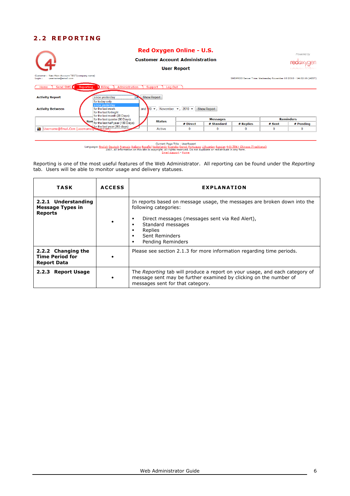### 2.2 REPORTING

|                                                                                  |                                                                             | Red Oxygen Online - U.S.               |          |                   |             |             | Powered by                                                        |
|----------------------------------------------------------------------------------|-----------------------------------------------------------------------------|----------------------------------------|----------|-------------------|-------------|-------------|-------------------------------------------------------------------|
| (4)                                                                              |                                                                             | <b>Customer Account Administration</b> |          | <b>red</b> axygen |             |             |                                                                   |
|                                                                                  |                                                                             |                                        | 10000000 |                   |             |             |                                                                   |
| New Main Account TEST(company name)<br>Customer:<br>username@email.com<br>Login: |                                                                             |                                        |          |                   |             |             | SMSPROD Server Time: Wednesday November 10 2010 - 14:02:16 (AEST) |
| Send SMS<br>Home                                                                 | Administration<br>Billing<br>Log Out<br>Reporting<br>Support                |                                        |          |                   |             |             |                                                                   |
| <b>Activity Report</b>                                                           | since yesterday<br>for today only<br>since yesterday                        | <b>Show Report</b>                     |          |                   |             |             |                                                                   |
| <b>Activity Between</b>                                                          | for the last week<br>for the last fortnight<br>for the last month (28 Days) | and $10 -$ , November $-$ , 2010 $-$   |          | Show Report       |             |             |                                                                   |
|                                                                                  | for the last quarter (90 Days)                                              | <b>Status</b>                          |          | <b>Messages</b>   |             |             | <b>Reminders</b>                                                  |
|                                                                                  | Nan for the last half year (180 Days)                                       |                                        | # Direct | # Standard        | # Replies   | # Sent      | # Pending                                                         |
| Username@Email.Com [username@exam.com]<br>łО                                     |                                                                             | Active                                 | 0        | 0                 | $\mathbf 0$ | $\mathbf 0$ | $\mathbf 0$                                                       |
|                                                                                  |                                                                             |                                        |          |                   |             |             |                                                                   |

Current Page Title - UserReport<br>Language: <u>English Deutsch Francais Italiano</u> Español Nederlands Svenska Dansk Portugues Lithuanian Russian 中文(寛体) Chinese (Traditional)<br>2007. All information on this site is copyright. All

Reporting is one of the most useful features of the Web Administrator. All reporting can be found under the Reporting tab. Users will be able to monitor usage and delivery statuses.

| <b>TASK</b>                                                        | <b>ACCESS</b> | <b>EXPLANATION</b>                                                                                                                                                                                                              |
|--------------------------------------------------------------------|---------------|---------------------------------------------------------------------------------------------------------------------------------------------------------------------------------------------------------------------------------|
| 2.2.1 Understanding<br><b>Message Types in</b><br><b>Reports</b>   |               | In reports based on message usage, the messages are broken down into the<br>following categories:<br>Direct messages (messages sent via Red Alert),<br>Standard messages<br>Replies<br>Sent Reminders<br>Pending Reminders<br>п |
| 2.2.2 Changing the<br><b>Time Period for</b><br><b>Report Data</b> |               | Please see section 2.1.3 for more information regarding time periods.                                                                                                                                                           |
| <b>Report Usage</b><br>2.2.3                                       | $\bullet$     | The Reporting tab will produce a report on your usage, and each category of<br>message sent may be further examined by clicking on the number of<br>messages sent for that category.                                            |